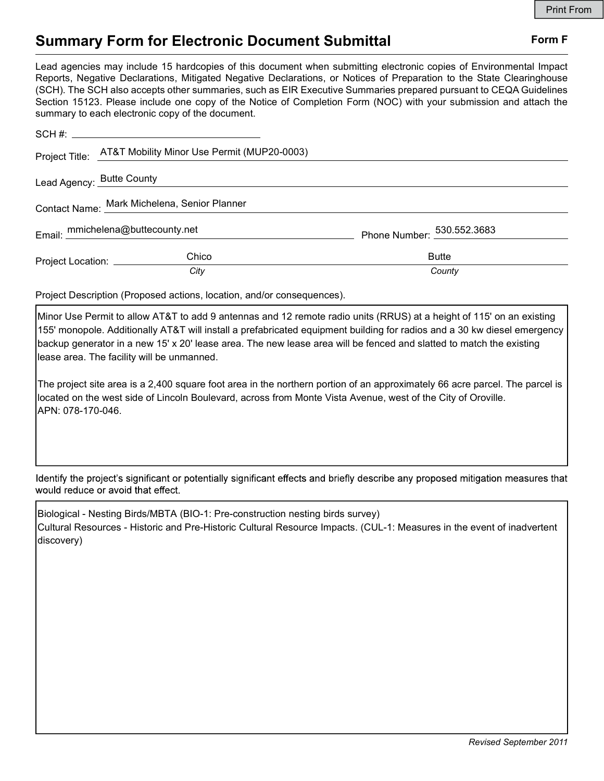## Summary Form for Electronic Document Submittal Form F

Lead agencies may include 15 hardcopies of this document when submitting electronic copies of Environmental Impact Reports, Negative Declarations, Mitigated Negative Declarations, or Notices of Preparation to the State Clearinghouse (SCH). The SCH also accepts other summaries, such as EIR Executive Summaries prepared pursuant to CEQA Guidelines Section 15123. Please include one copy of the Notice of Completion Form (NOC) with your submission and attach the summary to each electronic copy of the document.

|                                              | Project Title: AT&T Mobility Minor Use Permit (MUP20-0003) |                            |
|----------------------------------------------|------------------------------------------------------------|----------------------------|
|                                              | Lead Agency: Butte County                                  |                            |
| Contact Name: Mark Michelena, Senior Planner |                                                            |                            |
|                                              | Email: mmichelena@buttecounty.net                          | Phone Number: 530.552.3683 |
|                                              | Chico<br>Project Location: ____________                    | <b>Butte</b>               |
|                                              | City                                                       | County                     |

Project Description (Proposed actions, location, and/or consequences).

Minor Use Permit to allow AT&T to add 9 antennas and 12 remote radio units (RRUS) at a height of 115' on an existing 155' monopole. Additionally AT&T will install a prefabricated equipment building for radios and a 30 kw diesel emergency backup generator in a new 15' x 20' lease area. The new lease area will be fenced and slatted to match the existing lease area. The facility will be unmanned.

The project site area is a 2,400 square foot area in the northern portion of an approximately 66 acre parcel. The parcel is located on the west side of Lincoln Boulevard, across from Monte Vista Avenue, west of the City of Oroville. APN: 078-170-046.

Identify the project's significant or potentially significant effects and briefly describe any proposed mitigation measures that would reduce or avoid that effect.

Biological - Nesting Birds/MBTA (BIO-1: Pre-construction nesting birds survey) Cultural Resources - Historic and Pre-Historic Cultural Resource Impacts. (CUL-1: Measures in the event of inadvertent discovery)